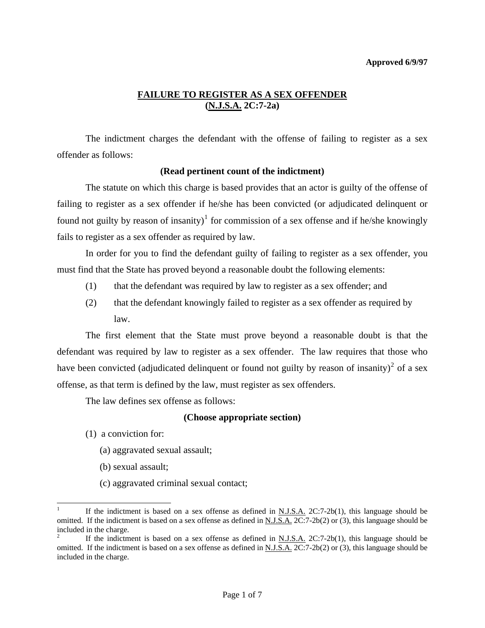#### **Approved 6/9/97**

# **FAILURE TO REGISTER AS A SEX OFFENDER (N.J.S.A. 2C:7-2a)**

 The indictment charges the defendant with the offense of failing to register as a sex offender as follows:

#### **(Read pertinent count of the indictment)**

 The statute on which this charge is based provides that an actor is guilty of the offense of failing to register as a sex offender if he/she has been convicted (or adjudicated delinquent or found not guilty by reason of insanity)<sup>[1](#page-0-0)</sup> for commission of a sex offense and if he/she knowingly fails to register as a sex offender as required by law.

 In order for you to find the defendant guilty of failing to register as a sex offender, you must find that the State has proved beyond a reasonable doubt the following elements:

- (1) that the defendant was required by law to register as a sex offender; and
- (2) that the defendant knowingly failed to register as a sex offender as required by law.

 The first element that the State must prove beyond a reasonable doubt is that the defendant was required by law to register as a sex offender. The law requires that those who have been convicted (adjudicated delinquent or found not guilty by reason of insanity)<sup>[2](#page-0-1)</sup> of a sex offense, as that term is defined by the law, must register as sex offenders.

The law defines sex offense as follows:

## **(Choose appropriate section)**

(1) a conviction for:

l

- (a) aggravated sexual assault;
- (b) sexual assault;
- (c) aggravated criminal sexual contact;

<span id="page-0-0"></span><sup>1</sup> If the indictment is based on a sex offense as defined in N.J.S.A. 2C:7-2b(1), this language should be omitted. If the indictment is based on a sex offense as defined in N.J.S.A. 2C:7-2b(2) or (3), this language should be included in the charge.

<span id="page-0-2"></span><span id="page-0-1"></span><sup>2</sup> If the indictment is based on a sex offense as defined in N.J.S.A. 2C:7-2b(1), this language should be omitted. If the indictment is based on a sex offense as defined in N.J.S.A. 2C:7-2b(2) or (3), this language should be included in the charge.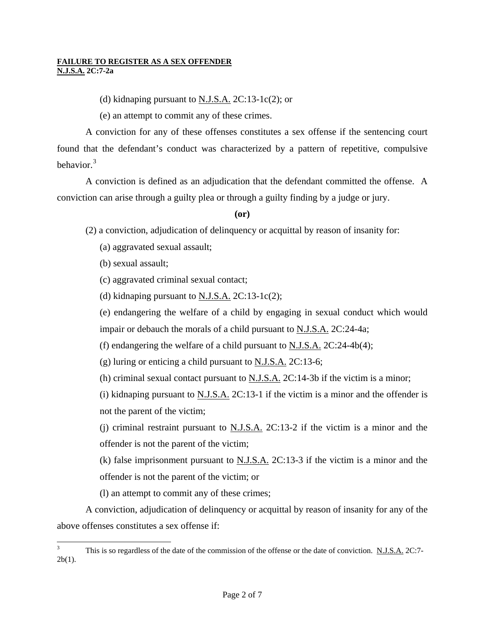(d) kidnaping pursuant to  $N.J.S.A. 2C:13-1c(2)$ ; or

(e) an attempt to commit any of these crimes.

 A conviction for any of these offenses constitutes a sex offense if the sentencing court found that the defendant's conduct was characterized by a pattern of repetitive, compulsive behavior.<sup>[3](#page-0-2)</sup>

 A conviction is defined as an adjudication that the defendant committed the offense. A conviction can arise through a guilty plea or through a guilty finding by a judge or jury.

# **(or)**

(2) a conviction, adjudication of delinquency or acquittal by reason of insanity for:

- (a) aggravated sexual assault;
- (b) sexual assault;

 $\overline{\phantom{a}}$ 

- (c) aggravated criminal sexual contact;
- (d) kidnaping pursuant to N.J.S.A.  $2C:13-1c(2)$ ;

(e) endangering the welfare of a child by engaging in sexual conduct which would impair or debauch the morals of a child pursuant to N.J.S.A. 2C:24-4a;

(f) endangering the welfare of a child pursuant to N.J.S.A. 2C:24-4b(4);

- (g) luring or enticing a child pursuant to  $N.J.S.A.$  2C:13-6;
- (h) criminal sexual contact pursuant to N.J.S.A. 2C:14-3b if the victim is a minor;

(i) kidnaping pursuant to  $N.J.S.A.$  2C:13-1 if the victim is a minor and the offender is not the parent of the victim;

(j) criminal restraint pursuant to  $N.J.S.A.$  2C:13-2 if the victim is a minor and the offender is not the parent of the victim;

(k) false imprisonment pursuant to N.J.S.A. 2C:13-3 if the victim is a minor and the offender is not the parent of the victim; or

(l) an attempt to commit any of these crimes;

<span id="page-1-0"></span> A conviction, adjudication of delinquency or acquittal by reason of insanity for any of the above offenses constitutes a sex offense if:

<sup>3</sup> This is so regardless of the date of the commission of the offense or the date of conviction. N.J.S.A. 2C:7-  $2b(1)$ .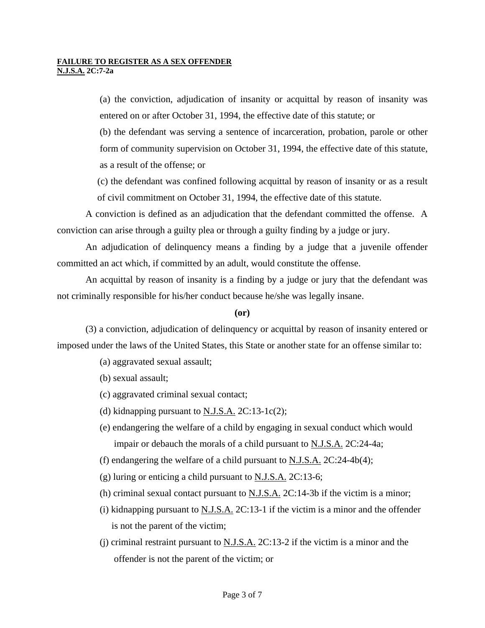(a) the conviction, adjudication of insanity or acquittal by reason of insanity was entered on or after October 31, 1994, the effective date of this statute; or

(b) the defendant was serving a sentence of incarceration, probation, parole or other form of community supervision on October 31, 1994, the effective date of this statute, as a result of the offense; or

(c) the defendant was confined following acquittal by reason of insanity or as a result of civil commitment on October 31, 1994, the effective date of this statute.

 A conviction is defined as an adjudication that the defendant committed the offense. A conviction can arise through a guilty plea or through a guilty finding by a judge or jury.

 An adjudication of delinquency means a finding by a judge that a juvenile offender committed an act which, if committed by an adult, would constitute the offense.

 An acquittal by reason of insanity is a finding by a judge or jury that the defendant was not criminally responsible for his/her conduct because he/she was legally insane.

# **(or)**

 (3) a conviction, adjudication of delinquency or acquittal by reason of insanity entered or imposed under the laws of the United States, this State or another state for an offense similar to:

- (a) aggravated sexual assault;
- (b) sexual assault;
- (c) aggravated criminal sexual contact;
- (d) kidnapping pursuant to N.J.S.A. 2C:13-1c(2);
- (e) endangering the welfare of a child by engaging in sexual conduct which would impair or debauch the morals of a child pursuant to N.J.S.A. 2C:24-4a;
- (f) endangering the welfare of a child pursuant to N.J.S.A. 2C:24-4b(4);
- (g) luring or enticing a child pursuant to N.J.S.A. 2C:13-6;
- (h) criminal sexual contact pursuant to N.J.S.A. 2C:14-3b if the victim is a minor;
- (i) kidnapping pursuant to  $N.J.S.A.$  2C:13-1 if the victim is a minor and the offender is not the parent of the victim;
- (j) criminal restraint pursuant to  $N.J.S.A.$  2C:13-2 if the victim is a minor and the offender is not the parent of the victim; or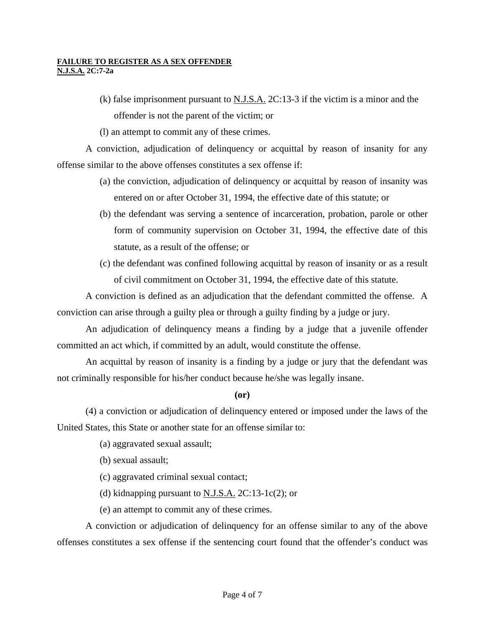- (k) false imprisonment pursuant to N.J.S.A. 2C:13-3 if the victim is a minor and the offender is not the parent of the victim; or
- (l) an attempt to commit any of these crimes.

 A conviction, adjudication of delinquency or acquittal by reason of insanity for any offense similar to the above offenses constitutes a sex offense if:

- (a) the conviction, adjudication of delinquency or acquittal by reason of insanity was entered on or after October 31, 1994, the effective date of this statute; or
- (b) the defendant was serving a sentence of incarceration, probation, parole or other form of community supervision on October 31, 1994, the effective date of this statute, as a result of the offense; or
- (c) the defendant was confined following acquittal by reason of insanity or as a result of civil commitment on October 31, 1994, the effective date of this statute.

 A conviction is defined as an adjudication that the defendant committed the offense. A conviction can arise through a guilty plea or through a guilty finding by a judge or jury.

 An adjudication of delinquency means a finding by a judge that a juvenile offender committed an act which, if committed by an adult, would constitute the offense.

 An acquittal by reason of insanity is a finding by a judge or jury that the defendant was not criminally responsible for his/her conduct because he/she was legally insane.

#### **(or)**

 (4) a conviction or adjudication of delinquency entered or imposed under the laws of the United States, this State or another state for an offense similar to:

- (a) aggravated sexual assault;
- (b) sexual assault;
- (c) aggravated criminal sexual contact;
- (d) kidnapping pursuant to N.J.S.A. 2C:13-1c(2); or
- (e) an attempt to commit any of these crimes.

 A conviction or adjudication of delinquency for an offense similar to any of the above offenses constitutes a sex offense if the sentencing court found that the offender's conduct was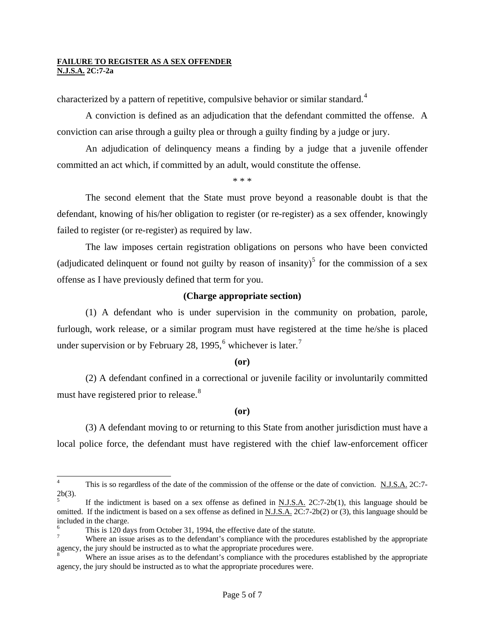characterized by a pattern of repetitive, compulsive behavior or similar standard.<sup>[4](#page-1-0)</sup>

 A conviction is defined as an adjudication that the defendant committed the offense. A conviction can arise through a guilty plea or through a guilty finding by a judge or jury.

 An adjudication of delinquency means a finding by a judge that a juvenile offender committed an act which, if committed by an adult, would constitute the offense.

\* \* \*

 The second element that the State must prove beyond a reasonable doubt is that the defendant, knowing of his/her obligation to register (or re-register) as a sex offender, knowingly failed to register (or re-register) as required by law.

 The law imposes certain registration obligations on persons who have been convicted (adjudicated delinquent or found not guilty by reason of insanity)<sup>[5](#page-4-0)</sup> for the commission of a sex offense as I have previously defined that term for you.

# **(Charge appropriate section)**

 (1) A defendant who is under supervision in the community on probation, parole, furlough, work release, or a similar program must have registered at the time he/she is placed under supervision or by February 28, 1995,  $6$  whichever is later.<sup>[7](#page-4-2)</sup>

## **(or)**

 (2) A defendant confined in a correctional or juvenile facility or involuntarily committed must have registered prior to release.<sup>[8](#page-4-3)</sup>

## **(or)**

 (3) A defendant moving to or returning to this State from another jurisdiction must have a local police force, the defendant must have registered with the chief law-enforcement officer

 $\frac{1}{4}$ This is so regardless of the date of the commission of the offense or the date of conviction. N.J.S.A. 2C:7-2b(3).

<span id="page-4-0"></span><sup>5</sup> If the indictment is based on a sex offense as defined in N.J.S.A. 2C:7-2b(1), this language should be omitted. If the indictment is based on a sex offense as defined in N.J.S.A. 2C:7-2b(2) or (3), this language should be included in the charge.

<span id="page-4-1"></span><sup>6</sup> This is 120 days from October 31, 1994, the effective date of the statute.

<span id="page-4-2"></span><sup>7</sup> Where an issue arises as to the defendant's compliance with the procedures established by the appropriate agency, the jury should be instructed as to what the appropriate procedures were.

<span id="page-4-4"></span><span id="page-4-3"></span>Where an issue arises as to the defendant's compliance with the procedures established by the appropriate agency, the jury should be instructed as to what the appropriate procedures were.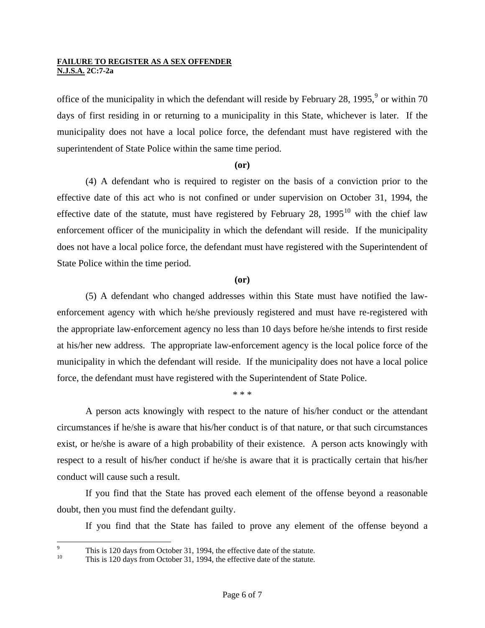office of the municipality in which the defendant will reside by February 28, 1[9](#page-4-4)95, $9$  or within 70 days of first residing in or returning to a municipality in this State, whichever is later. If the municipality does not have a local police force, the defendant must have registered with the superintendent of State Police within the same time period.

## **(or)**

 (4) A defendant who is required to register on the basis of a conviction prior to the effective date of this act who is not confined or under supervision on October 31, 1994, the effective date of the statute, must have registered by February 28,  $1995^{10}$  $1995^{10}$  $1995^{10}$  with the chief law enforcement officer of the municipality in which the defendant will reside. If the municipality does not have a local police force, the defendant must have registered with the Superintendent of State Police within the time period.

## **(or)**

 (5) A defendant who changed addresses within this State must have notified the lawenforcement agency with which he/she previously registered and must have re-registered with the appropriate law-enforcement agency no less than 10 days before he/she intends to first reside at his/her new address. The appropriate law-enforcement agency is the local police force of the municipality in which the defendant will reside. If the municipality does not have a local police force, the defendant must have registered with the Superintendent of State Police.

\* \* \*

 A person acts knowingly with respect to the nature of his/her conduct or the attendant circumstances if he/she is aware that his/her conduct is of that nature, or that such circumstances exist, or he/she is aware of a high probability of their existence. A person acts knowingly with respect to a result of his/her conduct if he/she is aware that it is practically certain that his/her conduct will cause such a result.

 If you find that the State has proved each element of the offense beyond a reasonable doubt, then you must find the defendant guilty.

If you find that the State has failed to prove any element of the offense beyond a

 $\overline{\phantom{a}}$ 

<span id="page-5-0"></span><sup>9</sup> This is 120 days from October 31, 1994, the effective date of the statute.

This is 120 days from October 31, 1994, the effective date of the statute.